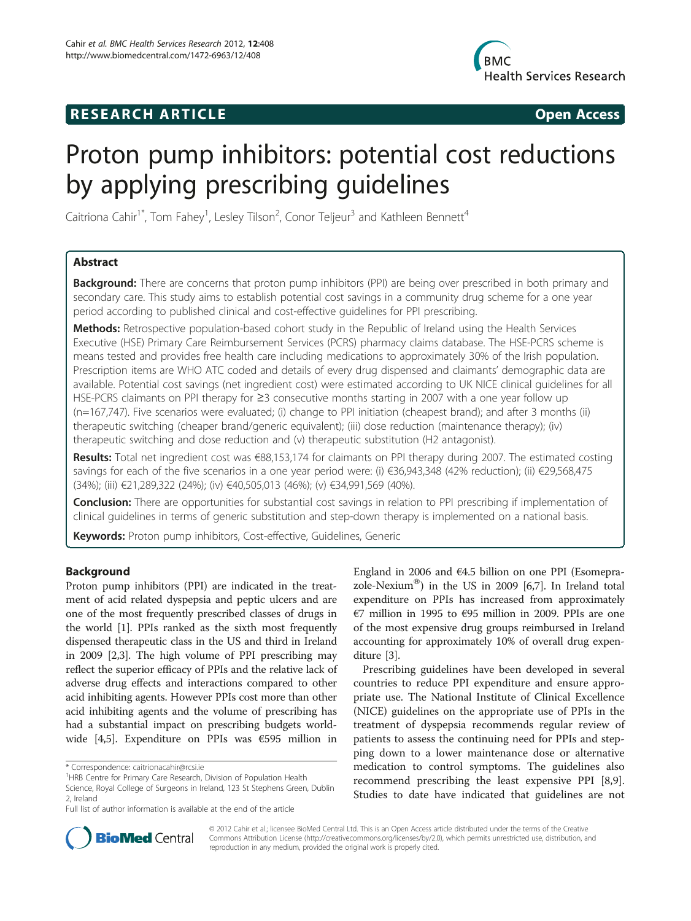## **RESEARCH ARTICLE Example 2018 CONSIDERING CONSIDERING CONSIDERING CONSIDERING CONSIDERING CONSIDERING CONSIDERING CONSIDERING CONSIDERING CONSIDERING CONSIDERING CONSIDERING CONSIDERING CONSIDERING CONSIDERING CONSIDE**



# Proton pump inhibitors: potential cost reductions by applying prescribing guidelines

Caitriona Cahir<sup>1\*</sup>, Tom Fahey<sup>1</sup>, Lesley Tilson<sup>2</sup>, Conor Teljeur<sup>3</sup> and Kathleen Bennett<sup>4</sup>

## Abstract

**Background:** There are concerns that proton pump inhibitors (PPI) are being over prescribed in both primary and secondary care. This study aims to establish potential cost savings in a community drug scheme for a one year period according to published clinical and cost-effective guidelines for PPI prescribing.

Methods: Retrospective population-based cohort study in the Republic of Ireland using the Health Services Executive (HSE) Primary Care Reimbursement Services (PCRS) pharmacy claims database. The HSE-PCRS scheme is means tested and provides free health care including medications to approximately 30% of the Irish population. Prescription items are WHO ATC coded and details of every drug dispensed and claimants' demographic data are available. Potential cost savings (net ingredient cost) were estimated according to UK NICE clinical guidelines for all HSE-PCRS claimants on PPI therapy for ≥3 consecutive months starting in 2007 with a one year follow up (n=167,747). Five scenarios were evaluated; (i) change to PPI initiation (cheapest brand); and after 3 months (ii) therapeutic switching (cheaper brand/generic equivalent); (iii) dose reduction (maintenance therapy); (iv) therapeutic switching and dose reduction and (v) therapeutic substitution (H2 antagonist).

Results: Total net ingredient cost was €88,153,174 for claimants on PPI therapy during 2007. The estimated costing savings for each of the five scenarios in a one year period were: (i) €36,943,348 (42% reduction); (ii) €29,568,475 (34%); (iii) €21,289,322 (24%); (iv) €40,505,013 (46%); (v) €34,991,569 (40%).

**Conclusion:** There are opportunities for substantial cost savings in relation to PPI prescribing if implementation of clinical guidelines in terms of generic substitution and step-down therapy is implemented on a national basis.

Keywords: Proton pump inhibitors, Cost-effective, Guidelines, Generic

## Background

Proton pump inhibitors (PPI) are indicated in the treatment of acid related dyspepsia and peptic ulcers and are one of the most frequently prescribed classes of drugs in the world [\[1](#page-6-0)]. PPIs ranked as the sixth most frequently dispensed therapeutic class in the US and third in Ireland in 2009 [\[2,3\]](#page-6-0). The high volume of PPI prescribing may reflect the superior efficacy of PPIs and the relative lack of adverse drug effects and interactions compared to other acid inhibiting agents. However PPIs cost more than other acid inhibiting agents and the volume of prescribing has had a substantial impact on prescribing budgets worldwide [\[4,5](#page-6-0)]. Expenditure on PPIs was €595 million in

England in 2006 and €4.5 billion on one PPI (Esomepra-zole-Nexium<sup>®</sup>) in the US in 2009 [\[6,7\]](#page-6-0). In Ireland total expenditure on PPIs has increased from approximately €7 million in 1995 to €95 million in 2009. PPIs are one of the most expensive drug groups reimbursed in Ireland accounting for approximately 10% of overall drug expenditure [\[3\]](#page-6-0).

Prescribing guidelines have been developed in several countries to reduce PPI expenditure and ensure appropriate use. The National Institute of Clinical Excellence (NICE) guidelines on the appropriate use of PPIs in the treatment of dyspepsia recommends regular review of patients to assess the continuing need for PPIs and stepping down to a lower maintenance dose or alternative medication to control symptoms. The guidelines also recommend prescribing the least expensive PPI [\[8,9](#page-6-0)]. Studies to date have indicated that guidelines are not



© 2012 Cahir et al.; licensee BioMed Central Ltd. This is an Open Access article distributed under the terms of the Creative Commons Attribution License [\(http://creativecommons.org/licenses/by/2.0\)](http://creativecommons.org/licenses/by/2.0), which permits unrestricted use, distribution, and reproduction in any medium, provided the original work is properly cited.

<sup>\*</sup> Correspondence: [caitrionacahir@rcsi.ie](mailto:caitrionacahir@rcsi.ie) <sup>1</sup>

<sup>&</sup>lt;sup>1</sup>HRB Centre for Primary Care Research, Division of Population Health

Science, Royal College of Surgeons in Ireland, 123 St Stephens Green, Dublin 2, Ireland

Full list of author information is available at the end of the article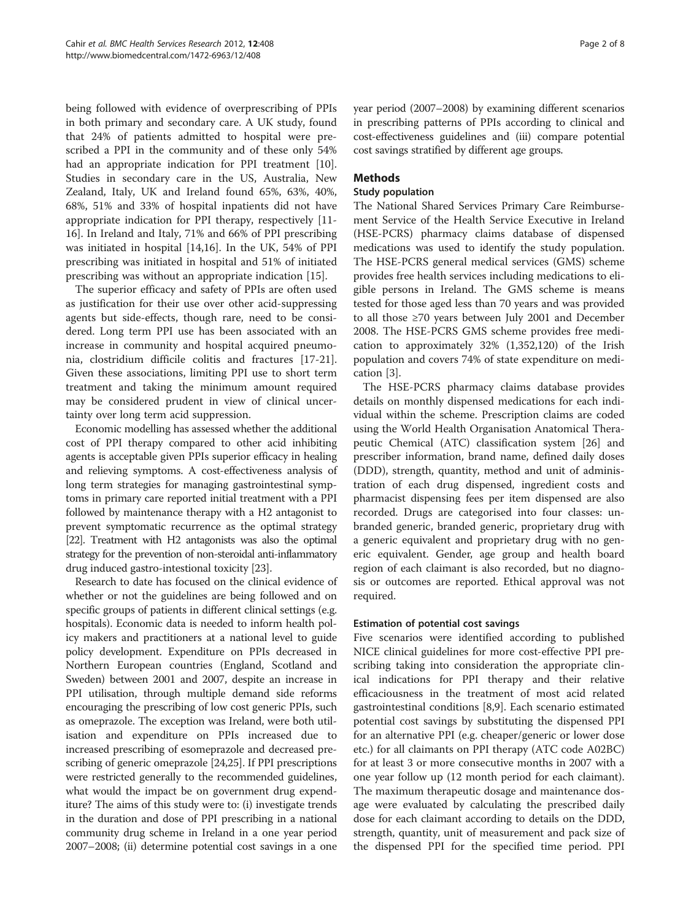being followed with evidence of overprescribing of PPIs in both primary and secondary care. A UK study, found that 24% of patients admitted to hospital were prescribed a PPI in the community and of these only 54% had an appropriate indication for PPI treatment [\[10](#page-6-0)]. Studies in secondary care in the US, Australia, New Zealand, Italy, UK and Ireland found 65%, 63%, 40%, 68%, 51% and 33% of hospital inpatients did not have appropriate indication for PPI therapy, respectively [\[11-](#page-6-0) [16\]](#page-6-0). In Ireland and Italy, 71% and 66% of PPI prescribing was initiated in hospital [[14,16\]](#page-6-0). In the UK, 54% of PPI prescribing was initiated in hospital and 51% of initiated prescribing was without an appropriate indication [\[15](#page-6-0)].

The superior efficacy and safety of PPIs are often used as justification for their use over other acid-suppressing agents but side-effects, though rare, need to be considered. Long term PPI use has been associated with an increase in community and hospital acquired pneumonia, clostridium difficile colitis and fractures [\[17-21](#page-6-0)]. Given these associations, limiting PPI use to short term treatment and taking the minimum amount required may be considered prudent in view of clinical uncertainty over long term acid suppression.

Economic modelling has assessed whether the additional cost of PPI therapy compared to other acid inhibiting agents is acceptable given PPIs superior efficacy in healing and relieving symptoms. A cost-effectiveness analysis of long term strategies for managing gastrointestinal symptoms in primary care reported initial treatment with a PPI followed by maintenance therapy with a H2 antagonist to prevent symptomatic recurrence as the optimal strategy [[22\]](#page-6-0). Treatment with H2 antagonists was also the optimal strategy for the prevention of non-steroidal anti-inflammatory drug induced gastro-intestional toxicity [[23](#page-6-0)].

Research to date has focused on the clinical evidence of whether or not the guidelines are being followed and on specific groups of patients in different clinical settings (e.g. hospitals). Economic data is needed to inform health policy makers and practitioners at a national level to guide policy development. Expenditure on PPIs decreased in Northern European countries (England, Scotland and Sweden) between 2001 and 2007, despite an increase in PPI utilisation, through multiple demand side reforms encouraging the prescribing of low cost generic PPIs, such as omeprazole. The exception was Ireland, were both utilisation and expenditure on PPIs increased due to increased prescribing of esomeprazole and decreased prescribing of generic omeprazole [[24,25\]](#page-6-0). If PPI prescriptions were restricted generally to the recommended guidelines, what would the impact be on government drug expenditure? The aims of this study were to: (i) investigate trends in the duration and dose of PPI prescribing in a national community drug scheme in Ireland in a one year period 2007–2008; (ii) determine potential cost savings in a one year period (2007–2008) by examining different scenarios in prescribing patterns of PPIs according to clinical and cost-effectiveness guidelines and (iii) compare potential cost savings stratified by different age groups.

## Methods

## Study population

The National Shared Services Primary Care Reimbursement Service of the Health Service Executive in Ireland (HSE-PCRS) pharmacy claims database of dispensed medications was used to identify the study population. The HSE-PCRS general medical services (GMS) scheme provides free health services including medications to eligible persons in Ireland. The GMS scheme is means tested for those aged less than 70 years and was provided to all those ≥70 years between July 2001 and December 2008. The HSE-PCRS GMS scheme provides free medication to approximately 32% (1,352,120) of the Irish population and covers 74% of state expenditure on medication [[3](#page-6-0)].

The HSE-PCRS pharmacy claims database provides details on monthly dispensed medications for each individual within the scheme. Prescription claims are coded using the World Health Organisation Anatomical Therapeutic Chemical (ATC) classification system [[26\]](#page-6-0) and prescriber information, brand name, defined daily doses (DDD), strength, quantity, method and unit of administration of each drug dispensed, ingredient costs and pharmacist dispensing fees per item dispensed are also recorded. Drugs are categorised into four classes: unbranded generic, branded generic, proprietary drug with a generic equivalent and proprietary drug with no generic equivalent. Gender, age group and health board region of each claimant is also recorded, but no diagnosis or outcomes are reported. Ethical approval was not required.

## Estimation of potential cost savings

Five scenarios were identified according to published NICE clinical guidelines for more cost-effective PPI prescribing taking into consideration the appropriate clinical indications for PPI therapy and their relative efficaciousness in the treatment of most acid related gastrointestinal conditions [\[8,9](#page-6-0)]. Each scenario estimated potential cost savings by substituting the dispensed PPI for an alternative PPI (e.g. cheaper/generic or lower dose etc.) for all claimants on PPI therapy (ATC code A02BC) for at least 3 or more consecutive months in 2007 with a one year follow up (12 month period for each claimant). The maximum therapeutic dosage and maintenance dosage were evaluated by calculating the prescribed daily dose for each claimant according to details on the DDD, strength, quantity, unit of measurement and pack size of the dispensed PPI for the specified time period. PPI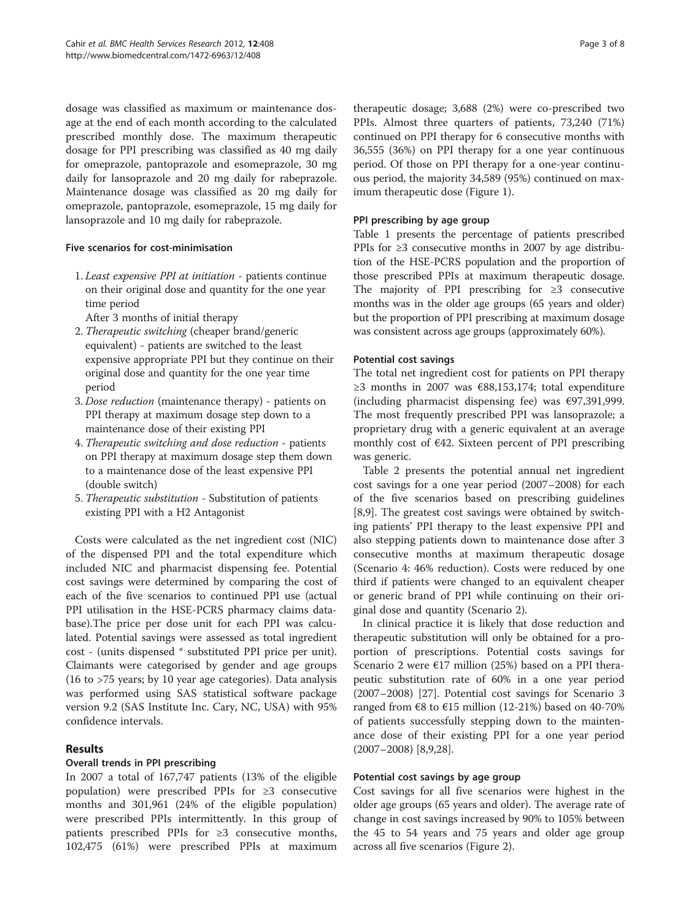dosage was classified as maximum or maintenance dosage at the end of each month according to the calculated prescribed monthly dose. The maximum therapeutic dosage for PPI prescribing was classified as 40 mg daily for omeprazole, pantoprazole and esomeprazole, 30 mg daily for lansoprazole and 20 mg daily for rabeprazole. Maintenance dosage was classified as 20 mg daily for omeprazole, pantoprazole, esomeprazole, 15 mg daily for lansoprazole and 10 mg daily for rabeprazole.

#### Five scenarios for cost-minimisation

1. Least expensive PPI at initiation - patients continue on their original dose and quantity for the one year time period

After 3 months of initial therapy

- 2. Therapeutic switching (cheaper brand/generic equivalent) - patients are switched to the least expensive appropriate PPI but they continue on their original dose and quantity for the one year time period
- 3. Dose reduction (maintenance therapy) patients on PPI therapy at maximum dosage step down to a maintenance dose of their existing PPI
- 4. Therapeutic switching and dose reduction patients on PPI therapy at maximum dosage step them down to a maintenance dose of the least expensive PPI (double switch)
- 5. Therapeutic substitution Substitution of patients existing PPI with a H2 Antagonist

Costs were calculated as the net ingredient cost (NIC) of the dispensed PPI and the total expenditure which included NIC and pharmacist dispensing fee. Potential cost savings were determined by comparing the cost of each of the five scenarios to continued PPI use (actual PPI utilisation in the HSE-PCRS pharmacy claims database).The price per dose unit for each PPI was calculated. Potential savings were assessed as total ingredient cost - (units dispensed \* substituted PPI price per unit). Claimants were categorised by gender and age groups (16 to >75 years; by 10 year age categories). Data analysis was performed using SAS statistical software package version 9.2 (SAS Institute Inc. Cary, NC, USA) with 95% confidence intervals.

## Results

## Overall trends in PPI prescribing

In 2007 a total of 167,747 patients (13% of the eligible population) were prescribed PPIs for ≥3 consecutive months and 301,961 (24% of the eligible population) were prescribed PPIs intermittently. In this group of patients prescribed PPIs for ≥3 consecutive months, 102,475 (61%) were prescribed PPIs at maximum therapeutic dosage; 3,688 (2%) were co-prescribed two PPIs. Almost three quarters of patients, 73,240 (71%) continued on PPI therapy for 6 consecutive months with 36,555 (36%) on PPI therapy for a one year continuous period. Of those on PPI therapy for a one-year continuous period, the majority 34,589 (95%) continued on maximum therapeutic dose (Figure [1\)](#page-3-0).

#### PPI prescribing by age group

Table [1](#page-3-0) presents the percentage of patients prescribed PPIs for ≥3 consecutive months in 2007 by age distribution of the HSE-PCRS population and the proportion of those prescribed PPIs at maximum therapeutic dosage. The majority of PPI prescribing for ≥3 consecutive months was in the older age groups (65 years and older) but the proportion of PPI prescribing at maximum dosage was consistent across age groups (approximately 60%).

#### Potential cost savings

The total net ingredient cost for patients on PPI therapy ≥3 months in 2007 was €88,153,174; total expenditure (including pharmacist dispensing fee) was €97,391,999. The most frequently prescribed PPI was lansoprazole; a proprietary drug with a generic equivalent at an average monthly cost of €42. Sixteen percent of PPI prescribing was generic.

Table [2](#page-4-0) presents the potential annual net ingredient cost savings for a one year period (2007–2008) for each of the five scenarios based on prescribing guidelines [[8,9\]](#page-6-0). The greatest cost savings were obtained by switching patients' PPI therapy to the least expensive PPI and also stepping patients down to maintenance dose after 3 consecutive months at maximum therapeutic dosage (Scenario 4: 46% reduction). Costs were reduced by one third if patients were changed to an equivalent cheaper or generic brand of PPI while continuing on their original dose and quantity (Scenario 2).

In clinical practice it is likely that dose reduction and therapeutic substitution will only be obtained for a proportion of prescriptions. Potential costs savings for Scenario 2 were €17 million (25%) based on a PPI therapeutic substitution rate of 60% in a one year period (2007–2008) [[27\]](#page-6-0). Potential cost savings for Scenario 3 ranged from €8 to €15 million (12-21%) based on 40-70% of patients successfully stepping down to the maintenance dose of their existing PPI for a one year period (2007–2008) [\[8,9,28](#page-6-0)].

## Potential cost savings by age group

Cost savings for all five scenarios were highest in the older age groups (65 years and older). The average rate of change in cost savings increased by 90% to 105% between the 45 to 54 years and 75 years and older age group across all five scenarios (Figure [2](#page-4-0)).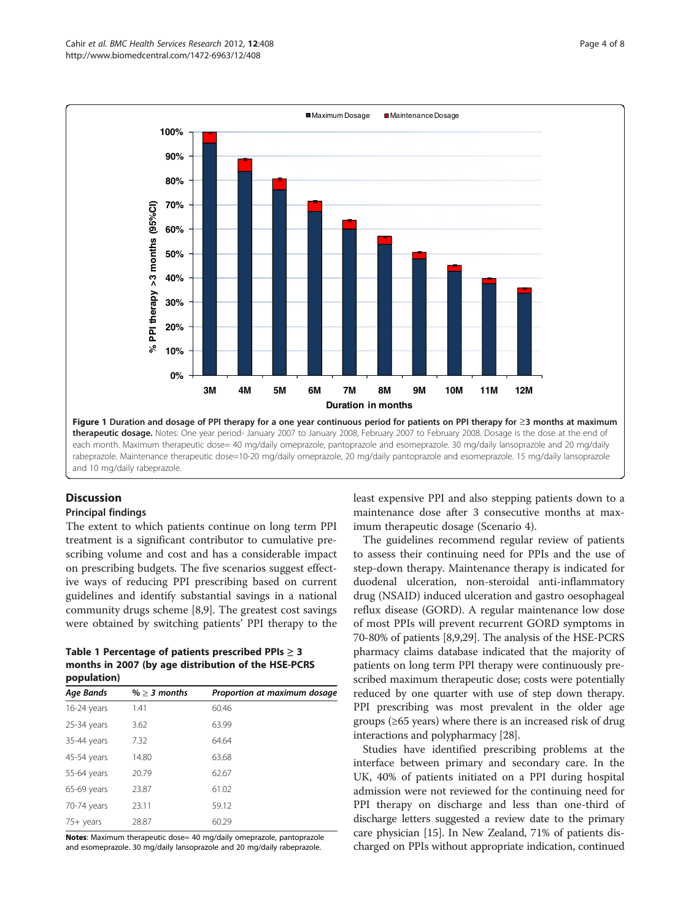<span id="page-3-0"></span>

## **Discussion**

#### Principal findings

The extent to which patients continue on long term PPI treatment is a significant contributor to cumulative prescribing volume and cost and has a considerable impact on prescribing budgets. The five scenarios suggest effective ways of reducing PPI prescribing based on current guidelines and identify substantial savings in a national community drugs scheme [\[8,9](#page-6-0)]. The greatest cost savings were obtained by switching patients' PPI therapy to the

Table 1 Percentage of patients prescribed PPIs  $\geq$  3 months in 2007 (by age distribution of the HSE-PCRS population)

| Age Bands     | $% > 3$ months | Proportion at maximum dosage |  |
|---------------|----------------|------------------------------|--|
| 16-24 years   | 1.41           | 60.46                        |  |
| $25-34$ years | 3.62           | 63.99                        |  |
| 35-44 years   | 7.32           | 64.64                        |  |
| 45-54 years   | 14.80          | 63.68                        |  |
| 55-64 years   | 20.79          | 62.67                        |  |
| 65-69 years   | 23.87          | 61.02                        |  |
| 70-74 years   | 23.11          | 59.12                        |  |
| $75+$ years   | 28.87          | 60.29                        |  |

Notes: Maximum therapeutic dose= 40 mg/daily omeprazole, pantoprazole and esomeprazole. 30 mg/daily lansoprazole and 20 mg/daily rabeprazole.

least expensive PPI and also stepping patients down to a maintenance dose after 3 consecutive months at maximum therapeutic dosage (Scenario 4).

The guidelines recommend regular review of patients to assess their continuing need for PPIs and the use of step-down therapy. Maintenance therapy is indicated for duodenal ulceration, non-steroidal anti-inflammatory drug (NSAID) induced ulceration and gastro oesophageal reflux disease (GORD). A regular maintenance low dose of most PPIs will prevent recurrent GORD symptoms in 70-80% of patients [[8,9,29](#page-6-0)]. The analysis of the HSE-PCRS pharmacy claims database indicated that the majority of patients on long term PPI therapy were continuously prescribed maximum therapeutic dose; costs were potentially reduced by one quarter with use of step down therapy. PPI prescribing was most prevalent in the older age groups (≥65 years) where there is an increased risk of drug interactions and polypharmacy [[28](#page-6-0)].

Studies have identified prescribing problems at the interface between primary and secondary care. In the UK, 40% of patients initiated on a PPI during hospital admission were not reviewed for the continuing need for PPI therapy on discharge and less than one-third of discharge letters suggested a review date to the primary care physician [\[15\]](#page-6-0). In New Zealand, 71% of patients discharged on PPIs without appropriate indication, continued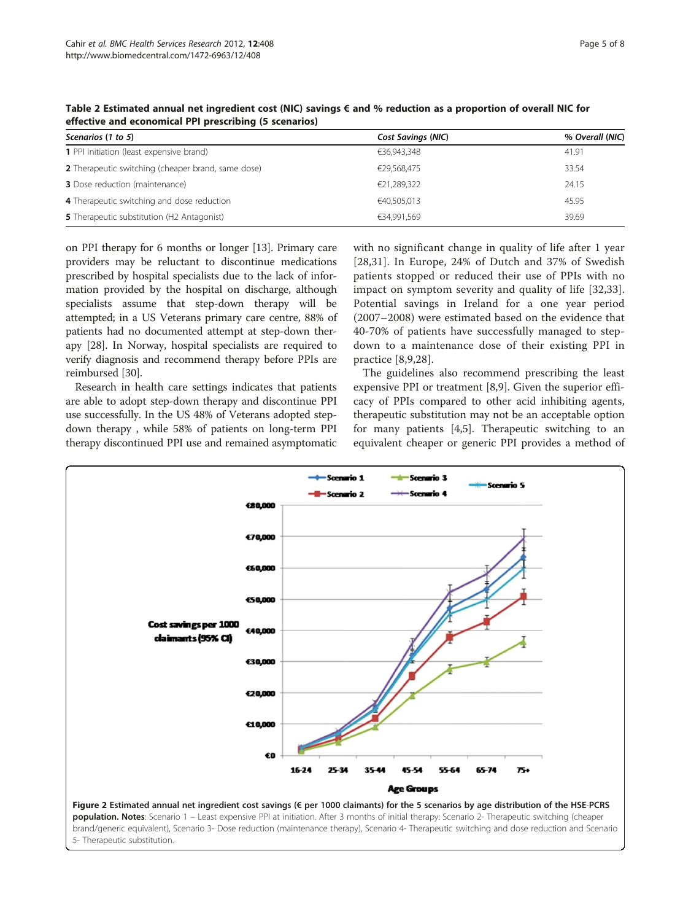| Scenarios (1 to 5)                                 | Cost Savings (NIC) | % Overall (NIC) |
|----------------------------------------------------|--------------------|-----------------|
| 1 PPI initiation (least expensive brand)           | €36,943,348        | 41.91           |
| 2 Therapeutic switching (cheaper brand, same dose) | €29,568,475        | 33.54           |
| <b>3</b> Dose reduction (maintenance)              | €21,289,322        | 24.15           |
| 4 Therapeutic switching and dose reduction         | €40,505,013        | 45.95           |
| <b>5</b> Therapeutic substitution (H2 Antagonist)  | €34,991,569        | 39.69           |

<span id="page-4-0"></span>Table 2 Estimated annual net ingredient cost (NIC) savings € and % reduction as a proportion of overall NIC for effective and economical PPI prescribing (5 scenarios)

on PPI therapy for 6 months or longer [[13](#page-6-0)]. Primary care providers may be reluctant to discontinue medications prescribed by hospital specialists due to the lack of information provided by the hospital on discharge, although specialists assume that step-down therapy will be attempted; in a US Veterans primary care centre, 88% of patients had no documented attempt at step-down therapy [[28\]](#page-6-0). In Norway, hospital specialists are required to verify diagnosis and recommend therapy before PPIs are reimbursed [[30](#page-6-0)].

Research in health care settings indicates that patients are able to adopt step-down therapy and discontinue PPI use successfully. In the US 48% of Veterans adopted stepdown therapy , while 58% of patients on long-term PPI therapy discontinued PPI use and remained asymptomatic

with no significant change in quality of life after 1 year [[28](#page-6-0)[,31](#page-7-0)]. In Europe, 24% of Dutch and 37% of Swedish patients stopped or reduced their use of PPIs with no impact on symptom severity and quality of life [[32,33](#page-7-0)]. Potential savings in Ireland for a one year period (2007–2008) were estimated based on the evidence that 40-70% of patients have successfully managed to stepdown to a maintenance dose of their existing PPI in practice [[8,9,28\]](#page-6-0).

The guidelines also recommend prescribing the least expensive PPI or treatment [\[8,9](#page-6-0)]. Given the superior efficacy of PPIs compared to other acid inhibiting agents, therapeutic substitution may not be an acceptable option for many patients [[4,5\]](#page-6-0). Therapeutic switching to an equivalent cheaper or generic PPI provides a method of

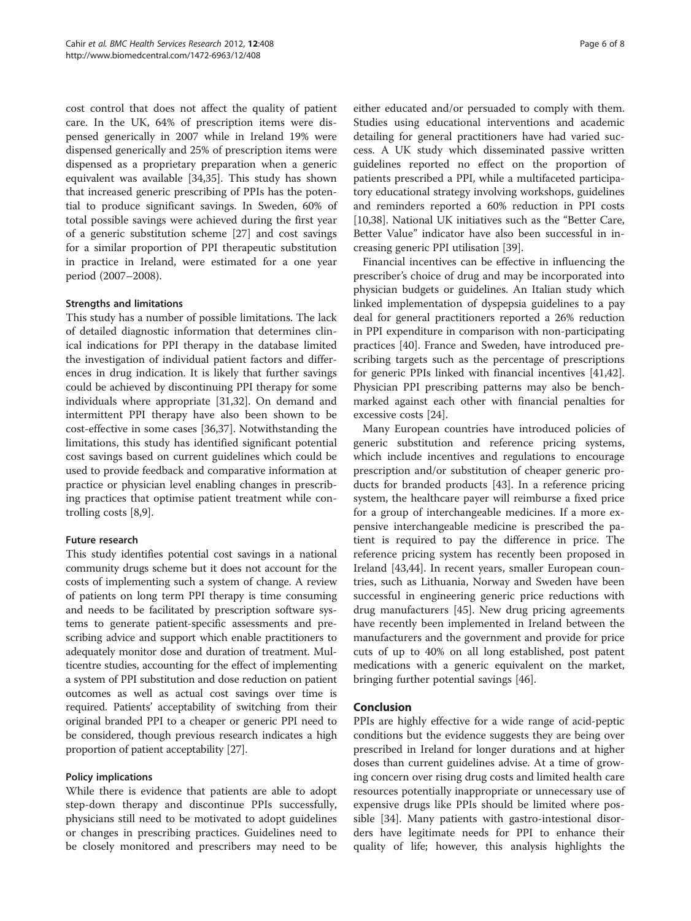cost control that does not affect the quality of patient care. In the UK, 64% of prescription items were dispensed generically in 2007 while in Ireland 19% were dispensed generically and 25% of prescription items were dispensed as a proprietary preparation when a generic equivalent was available [\[34,35\]](#page-7-0). This study has shown that increased generic prescribing of PPIs has the potential to produce significant savings. In Sweden, 60% of total possible savings were achieved during the first year of a generic substitution scheme [\[27](#page-6-0)] and cost savings for a similar proportion of PPI therapeutic substitution in practice in Ireland, were estimated for a one year period (2007–2008).

#### Strengths and limitations

This study has a number of possible limitations. The lack of detailed diagnostic information that determines clinical indications for PPI therapy in the database limited the investigation of individual patient factors and differences in drug indication. It is likely that further savings could be achieved by discontinuing PPI therapy for some individuals where appropriate [\[31,32\]](#page-7-0). On demand and intermittent PPI therapy have also been shown to be cost-effective in some cases [\[36,37\]](#page-7-0). Notwithstanding the limitations, this study has identified significant potential cost savings based on current guidelines which could be used to provide feedback and comparative information at practice or physician level enabling changes in prescribing practices that optimise patient treatment while controlling costs [\[8,9](#page-6-0)].

#### Future research

This study identifies potential cost savings in a national community drugs scheme but it does not account for the costs of implementing such a system of change. A review of patients on long term PPI therapy is time consuming and needs to be facilitated by prescription software systems to generate patient-specific assessments and prescribing advice and support which enable practitioners to adequately monitor dose and duration of treatment. Multicentre studies, accounting for the effect of implementing a system of PPI substitution and dose reduction on patient outcomes as well as actual cost savings over time is required. Patients' acceptability of switching from their original branded PPI to a cheaper or generic PPI need to be considered, though previous research indicates a high proportion of patient acceptability [[27](#page-6-0)].

#### Policy implications

While there is evidence that patients are able to adopt step-down therapy and discontinue PPIs successfully, physicians still need to be motivated to adopt guidelines or changes in prescribing practices. Guidelines need to be closely monitored and prescribers may need to be either educated and/or persuaded to comply with them. Studies using educational interventions and academic detailing for general practitioners have had varied success. A UK study which disseminated passive written guidelines reported no effect on the proportion of patients prescribed a PPI, while a multifaceted participatory educational strategy involving workshops, guidelines and reminders reported a 60% reduction in PPI costs [[10,](#page-6-0)[38\]](#page-7-0). National UK initiatives such as the "Better Care, Better Value" indicator have also been successful in increasing generic PPI utilisation [\[39](#page-7-0)].

Financial incentives can be effective in influencing the prescriber's choice of drug and may be incorporated into physician budgets or guidelines. An Italian study which linked implementation of dyspepsia guidelines to a pay deal for general practitioners reported a 26% reduction in PPI expenditure in comparison with non-participating practices [\[40](#page-7-0)]. France and Sweden, have introduced prescribing targets such as the percentage of prescriptions for generic PPIs linked with financial incentives [\[41,42](#page-7-0)]. Physician PPI prescribing patterns may also be benchmarked against each other with financial penalties for excessive costs [\[24\]](#page-6-0).

Many European countries have introduced policies of generic substitution and reference pricing systems, which include incentives and regulations to encourage prescription and/or substitution of cheaper generic products for branded products [[43](#page-7-0)]. In a reference pricing system, the healthcare payer will reimburse a fixed price for a group of interchangeable medicines. If a more expensive interchangeable medicine is prescribed the patient is required to pay the difference in price. The reference pricing system has recently been proposed in Ireland [\[43,44](#page-7-0)]. In recent years, smaller European countries, such as Lithuania, Norway and Sweden have been successful in engineering generic price reductions with drug manufacturers [\[45\]](#page-7-0). New drug pricing agreements have recently been implemented in Ireland between the manufacturers and the government and provide for price cuts of up to 40% on all long established, post patent medications with a generic equivalent on the market, bringing further potential savings [\[46](#page-7-0)].

## Conclusion

PPIs are highly effective for a wide range of acid-peptic conditions but the evidence suggests they are being over prescribed in Ireland for longer durations and at higher doses than current guidelines advise. At a time of growing concern over rising drug costs and limited health care resources potentially inappropriate or unnecessary use of expensive drugs like PPIs should be limited where possible [\[34\]](#page-7-0). Many patients with gastro-intestional disorders have legitimate needs for PPI to enhance their quality of life; however, this analysis highlights the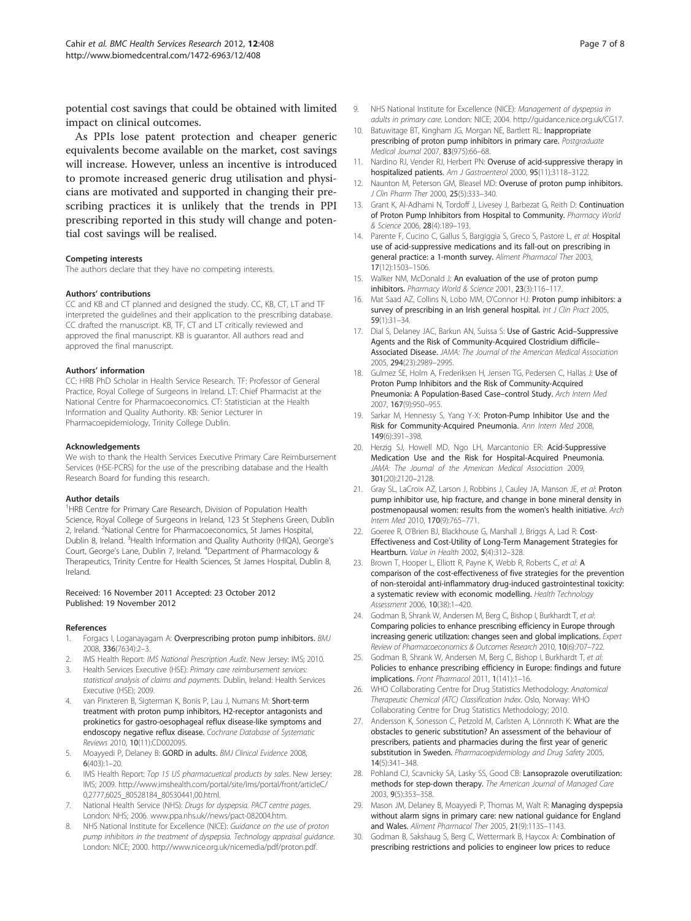<span id="page-6-0"></span>potential cost savings that could be obtained with limited impact on clinical outcomes.

As PPIs lose patent protection and cheaper generic equivalents become available on the market, cost savings will increase. However, unless an incentive is introduced to promote increased generic drug utilisation and physicians are motivated and supported in changing their prescribing practices it is unlikely that the trends in PPI prescribing reported in this study will change and potential cost savings will be realised.

#### Competing interests

The authors declare that they have no competing interests.

#### Authors' contributions

CC and KB and CT planned and designed the study. CC, KB, CT, LT and TF interpreted the guidelines and their application to the prescribing database. CC drafted the manuscript. KB, TF, CT and LT critically reviewed and approved the final manuscript. KB is guarantor. All authors read and approved the final manuscript.

#### Authors' information

CC: HRB PhD Scholar in Health Service Research. TF: Professor of General Practice, Royal College of Surgeons in Ireland. LT: Chief Pharmacist at the National Centre for Pharmacoeconomics. CT: Statistician at the Health Information and Quality Authority. KB: Senior Lecturer in Pharmacoepidemiology, Trinity College Dublin.

#### Acknowledgements

We wish to thank the Health Services Executive Primary Care Reimbursement Services (HSE-PCRS) for the use of the prescribing database and the Health Research Board for funding this research.

#### Author details

<sup>1</sup>HRB Centre for Primary Care Research, Division of Population Health Science, Royal College of Surgeons in Ireland, 123 St Stephens Green, Dublin 2, Ireland. <sup>2</sup>National Centre for Pharmacoeconomics, St James Hospital, Dublin 8, Ireland. <sup>3</sup>Health Information and Quality Authority (HIQA), George's Court, George's Lane, Dublin 7, Ireland. <sup>4</sup>Department of Pharmacology & Therapeutics, Trinity Centre for Health Sciences, St James Hospital, Dublin 8, Ireland.

#### Received: 16 November 2011 Accepted: 23 October 2012 Published: 19 November 2012

#### References

- 1. Forgacs I, Loganayagam A: Overprescribing proton pump inhibitors. BMJ 2008, 336(7634):2–3.
- 2. IMS Health Report: IMS National Prescription Audit. New Jersey: IMS; 2010.
- 3. Health Services Executive (HSE): Primary care reimbursement services: statistical analysis of claims and payments. Dublin, Ireland: Health Services Executive (HSE); 2009.
- 4. van Pinxteren B, Sigterman K, Bonis P, Lau J, Numans M: Short-term treatment with proton pump inhibitors, H2-receptor antagonists and prokinetics for gastro-oesophageal reflux disease-like symptoms and endoscopy negative reflux disease. Cochrane Database of Systematic Reviews 2010, 10(11):CD002095.
- 5. Moayyedi P, Delaney B: GORD in adults. BMJ Clinical Evidence 2008, 6(403):1–20.
- 6. IMS Health Report: Top 15 US pharmacuetical products by sales. New Jersey: IMS; 2009. [http://www.imshealth.com/portal/site/ims/portal/front/articleC/](http://www.imshealth.com/portal/site/ims/portal/front/articleC/0,2777,6025_80528184_80530441,00.html) [0,2777,6025\\_80528184\\_80530441,00.html.](http://www.imshealth.com/portal/site/ims/portal/front/articleC/0,2777,6025_80528184_80530441,00.html)
- 7. National Health Service (NHS): Drugs for dyspepsia. PACT centre pages. London: NHS; 2006. www.ppa.nhs.uk//news/pact-082004.htm.
- 8. NHS National Institute for Excellence (NICE): Guidance on the use of proton pump inhibitors in the treatment of dyspepsia. Technology appraisal guidance. London: NICE; 2000. http://www.nice.org.uk/nicemedia/pdf/proton.pdf.
- 9. NHS National Institute for Excellence (NICE): Management of dyspepsia in adults in primary care. London: NICE; 2004. http://guidance.nice.org.uk/CG17.
- 10. Batuwitage BT, Kingham JG, Morgan NE, Bartlett RL: Inappropriate prescribing of proton pump inhibitors in primary care. Postgraduate Medical Journal 2007, 83(975):66–68.
- 11. Nardino RJ, Vender RJ, Herbert PN: Overuse of acid-suppressive therapy in hospitalized patients. Am J Gastroenterol 2000, 95(11):3118–3122.
- 12. Naunton M, Peterson GM, Bleasel MD: Overuse of proton pump inhibitors. J Clin Pharm Ther 2000, 25(5):333–340.
- 13. Grant K, Al-Adhami N, Tordoff J, Livesey J, Barbezat G, Reith D: Continuation of Proton Pump Inhibitors from Hospital to Community. Pharmacy World & Science 2006, 28(4):189–193.
- 14. Parente F, Cucino C, Gallus S, Bargiggia S, Greco S, Pastore L, et al: Hospital use of acid-suppressive medications and its fall-out on prescribing in general practice: a 1-month survey. Aliment Pharmacol Ther 2003, 17(12):1503–1506.
- 15. Walker NM, McDonald J: An evaluation of the use of proton pump inhibitors. Pharmacy World & Science 2001, 23(3):116–117.
- 16. Mat Saad AZ, Collins N, Lobo MM, O'Connor HJ: Proton pump inhibitors: a survey of prescribing in an Irish general hospital. Int J Clin Pract 2005, 59(1):31–34.
- 17. Dial S, Delaney JAC, Barkun AN, Suissa S: Use of Gastric Acid-Suppressive Agents and the Risk of Community-Acquired Clostridium difficile– Associated Disease. JAMA: The Journal of the American Medical Association 2005, 294(23):2989–2995.
- 18. Gulmez SE, Holm A, Frederiksen H, Jensen TG, Pedersen C, Hallas J: Use of Proton Pump Inhibitors and the Risk of Community-Acquired Pneumonia: A Population-Based Case–control Study. Arch Intern Med 2007, 167(9):950–955.
- 19. Sarkar M, Hennessy S, Yang Y-X: Proton-Pump Inhibitor Use and the Risk for Community-Acquired Pneumonia. Ann Intern Med 2008, 149(6):391–398.
- 20. Herzig SJ, Howell MD, Ngo LH, Marcantonio ER: Acid-Suppressive Medication Use and the Risk for Hospital-Acquired Pneumonia. JAMA: The Journal of the American Medical Association 2009, 301(20):2120–2128.
- 21. Gray SL, LaCroix AZ, Larson J, Robbins J, Cauley JA, Manson JE, et al: Proton pump inhibitor use, hip fracture, and change in bone mineral density in postmenopausal women: results from the women's health initiative. Arch Intern Med 2010, 170(9):765–771.
- 22. Goeree R, O'Brien BJ, Blackhouse G, Marshall J, Briggs A, Lad R: Cost-Effectiveness and Cost-Utility of Long-Term Management Strategies for Heartburn. Value in Health 2002, 5(4):312-328.
- 23. Brown T, Hooper L, Elliott R, Payne K, Webb R, Roberts C, et al: A comparison of the cost-effectiveness of five strategies for the prevention of non-steroidal anti-inflammatory drug-induced gastrointestinal toxicity: a systematic review with economic modelling. Health Technology Assessment 2006, 10(38):1–420.
- 24. Godman B, Shrank W, Andersen M, Berg C, Bishop I, Burkhardt T, et al: Comparing policies to enhance prescribing efficiency in Europe through increasing generic utilization: changes seen and global implications. Expert Review of Pharmacoeconomics & Outcomes Research 2010, 10(6):707–722.
- 25. Godman B, Shrank W, Andersen M, Berg C, Bishop I, Burkhardt T, et al: Policies to enhance prescribing efficiency in Europe: findings and future implications. Front Pharmacol 2011, 1(141):1–16.
- 26. WHO Collaborating Centre for Drug Statistics Methodology: Anatomical Therapeutic Chemical (ATC) Classification Index. Oslo, Norway: WHO Collaborating Centre for Drug Statistics Methodology; 2010.
- 27. Andersson K, Sonesson C, Petzold M, Carlsten A, Lönnroth K: What are the obstacles to generic substitution? An assessment of the behaviour of prescribers, patients and pharmacies during the first year of generic substitution in Sweden. Pharmacoepidemiology and Drug Safety 2005, 14(5):341–348.
- 28. Pohland CJ, Scavnicky SA, Lasky SS, Good CB: Lansoprazole overutilization: methods for step-down therapy. The American Journal of Managed Care 2003, 9(5):353–358.
- 29. Mason JM, Delaney B, Moayyedi P, Thomas M, Walt R: Managing dyspepsia without alarm signs in primary care: new national guidance for England and Wales. Aliment Pharmacol Ther 2005, 21(9):1135–1143.
- 30. Godman B, Sakshaug S, Berg C, Wettermark B, Haycox A: Combination of prescribing restrictions and policies to engineer low prices to reduce